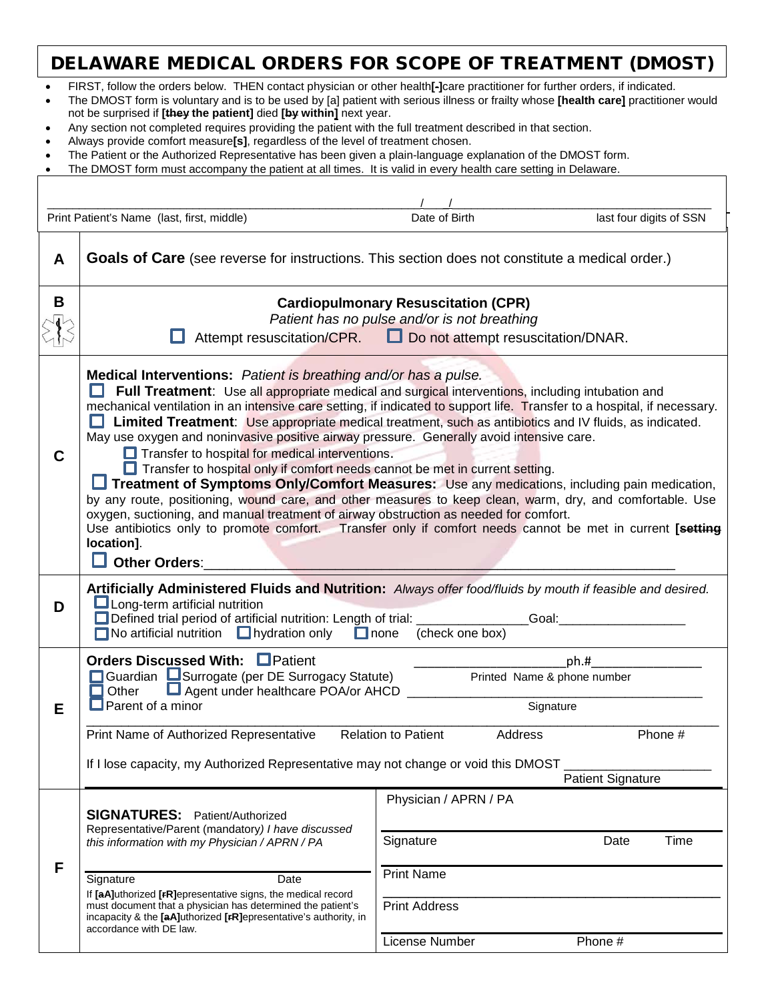## DELAWARE MEDICAL ORDERS FOR SCOPE OF TREATMENT (DMOST)

- FIRST, follow the orders below. THEN contact physician or other health**[-]**care practitioner for further orders, if indicated.
- The DMOST form is voluntary and is to be used by [a] patient with serious illness or frailty whose **[health care]** practitioner would not be surprised if **[they the patient]** died **[by within]** next year.
- Any section not completed requires providing the patient with the full treatment described in that section.
- Always provide comfort measure**[s]**, regardless of the level of treatment chosen.
- The Patient or the Authorized Representative has been given a plain-language explanation of the DMOST form.
- The DMOST form must accompany the patient at all times. It is valid in every health care setting in Delaware.

| Print Patient's Name (last, first, middle) |                                                                                                                                                                                                                                                                                                                                                                                                                                                                                                                                                                                                                                                                                                                                                                                                                                                                                                                                                                                                                                                                                                              | Date of Birth                                                                   | last four digits of SSN |
|--------------------------------------------|--------------------------------------------------------------------------------------------------------------------------------------------------------------------------------------------------------------------------------------------------------------------------------------------------------------------------------------------------------------------------------------------------------------------------------------------------------------------------------------------------------------------------------------------------------------------------------------------------------------------------------------------------------------------------------------------------------------------------------------------------------------------------------------------------------------------------------------------------------------------------------------------------------------------------------------------------------------------------------------------------------------------------------------------------------------------------------------------------------------|---------------------------------------------------------------------------------|-------------------------|
| A                                          | <b>Goals of Care</b> (see reverse for instructions. This section does not constitute a medical order.)                                                                                                                                                                                                                                                                                                                                                                                                                                                                                                                                                                                                                                                                                                                                                                                                                                                                                                                                                                                                       |                                                                                 |                         |
| В                                          | <b>Cardiopulmonary Resuscitation (CPR)</b><br>Patient has no pulse and/or is not breathing<br>Attempt resuscitation/CPR. Do not attempt resuscitation/DNAR.                                                                                                                                                                                                                                                                                                                                                                                                                                                                                                                                                                                                                                                                                                                                                                                                                                                                                                                                                  |                                                                                 |                         |
| C                                          | Medical Interventions: Patient is breathing and/or has a pulse.<br><b>Full Treatment:</b> Use all appropriate medical and surgical interventions, including intubation and<br>mechanical ventilation in an intensive care setting, if indicated to support life. Transfer to a hospital, if necessary.<br>Limited Treatment: Use appropriate medical treatment, such as antibiotics and IV fluids, as indicated.<br>H<br>May use oxygen and noninvasive positive airway pressure. Generally avoid intensive care.<br>Transfer to hospital for medical interventions.<br>Transfer to hospital only if comfort needs cannot be met in current setting.<br>Treatment of Symptoms Only/Comfort Measures: Use any medications, including pain medication,<br>by any route, positioning, wound care, and other measures to keep clean, warm, dry, and comfortable. Use<br>oxygen, suctioning, and manual treatment of airway obstruction as needed for comfort.<br>Use antibiotics only to promote comfort. Transfer only if comfort needs cannot be met in current [setting<br>location].<br><b>Other Orders:</b> |                                                                                 |                         |
| D                                          | Artificially Administered Fluids and Nutrition: Always offer food/fluids by mouth if feasible and desired.<br>$\Box$ Long-term artificial nutrition<br>Defined trial period of artificial nutrition: Length of trial: __________________Goal:<br>$\Box$ No artificial nutrition $\Box$ hydration only<br>$\Box$ none<br>(check one box)                                                                                                                                                                                                                                                                                                                                                                                                                                                                                                                                                                                                                                                                                                                                                                      |                                                                                 |                         |
| Е                                          | Orders Discussed With: Patient<br>$ph.$ #<br>Guardian Surrogate (per DE Surrogacy Statute)<br>Printed Name & phone number<br>Agent under healthcare POA/or AHCD<br>Other<br>$\Box$ Parent of a minor<br>Signature                                                                                                                                                                                                                                                                                                                                                                                                                                                                                                                                                                                                                                                                                                                                                                                                                                                                                            |                                                                                 |                         |
|                                            | Print Name of Authorized Representative<br>Phone #<br><b>Relation to Patient</b><br>Address<br>If I lose capacity, my Authorized Representative may not change or void this DMOST<br><b>Patient Signature</b>                                                                                                                                                                                                                                                                                                                                                                                                                                                                                                                                                                                                                                                                                                                                                                                                                                                                                                |                                                                                 |                         |
| F                                          | <b>SIGNATURES:</b> Patient/Authorized<br>Representative/Parent (mandatory) I have discussed<br>this information with my Physician / APRN / PA<br>Signature<br>Date<br>If [aA]uthorized [FR]epresentative signs, the medical record<br>must document that a physician has determined the patient's<br>incapacity & the [aA]uthorized [rR]epresentative's authority, in<br>accordance with DE law.                                                                                                                                                                                                                                                                                                                                                                                                                                                                                                                                                                                                                                                                                                             | Physician / APRN / PA<br>Signature<br><b>Print Name</b><br><b>Print Address</b> | Time<br>Date            |
|                                            |                                                                                                                                                                                                                                                                                                                                                                                                                                                                                                                                                                                                                                                                                                                                                                                                                                                                                                                                                                                                                                                                                                              | License Number                                                                  | Phone #                 |